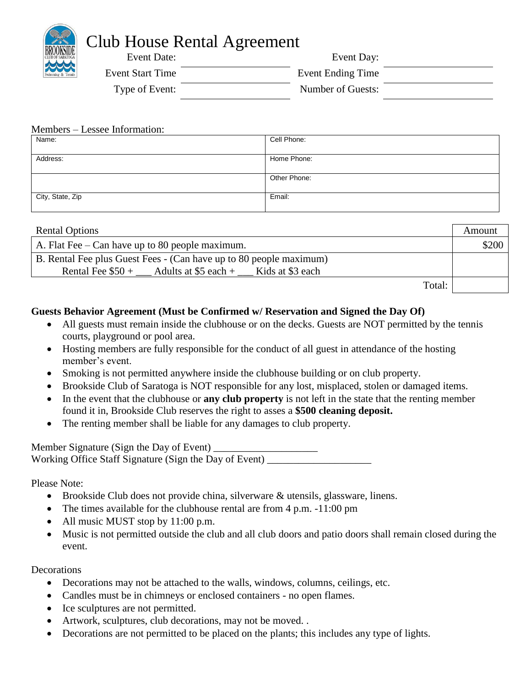# Club House Rental Agreement Event Date: Event Day:

| Divisione.       | $L$ v $L$ iii $L$ $\mu$ v $\mu$ |  |
|------------------|---------------------------------|--|
| Event Start Time | Event Ending Time               |  |
| Type of Event:   | Number of Guests:               |  |

### Members – Lessee Information:

| Name:            | Cell Phone:  |
|------------------|--------------|
|                  |              |
| Address:         | Home Phone:  |
|                  |              |
|                  | Other Phone: |
|                  |              |
| City, State, Zip | Email:       |
|                  |              |

| <b>Rental Options</b>                                              | Amount |
|--------------------------------------------------------------------|--------|
| A. Flat Fee $-$ Can have up to 80 people maximum.                  | \$200  |
| B. Rental Fee plus Guest Fees - (Can have up to 80 people maximum) |        |
| Rental Fee $$50 +$ Adults at \$5 each + Kids at \$3 each           |        |
| Total:                                                             |        |

## **Guests Behavior Agreement (Must be Confirmed w/ Reservation and Signed the Day Of)**

- All guests must remain inside the clubhouse or on the decks. Guests are NOT permitted by the tennis courts, playground or pool area.
- Hosting members are fully responsible for the conduct of all guest in attendance of the hosting member's event.
- Smoking is not permitted anywhere inside the clubhouse building or on club property.
- Brookside Club of Saratoga is NOT responsible for any lost, misplaced, stolen or damaged items.
- In the event that the clubhouse or **any club property** is not left in the state that the renting member found it in, Brookside Club reserves the right to asses a **\$500 cleaning deposit.**
- The renting member shall be liable for any damages to club property.

| Member Signature (Sign the Day of Event)               |  |
|--------------------------------------------------------|--|
| Working Office Staff Signature (Sign the Day of Event) |  |

Please Note:

- Brookside Club does not provide china, silverware & utensils, glassware, linens.
- The times available for the clubhouse rental are from 4 p.m. -11:00 pm
- All music MUST stop by 11:00 p.m.
- Music is not permitted outside the club and all club doors and patio doors shall remain closed during the event.

## **Decorations**

- Decorations may not be attached to the walls, windows, columns, ceilings, etc.
- Candles must be in chimneys or enclosed containers no open flames.
- Ice sculptures are not permitted.
- Artwork, sculptures, club decorations, may not be moved...
- Decorations are not permitted to be placed on the plants; this includes any type of lights.